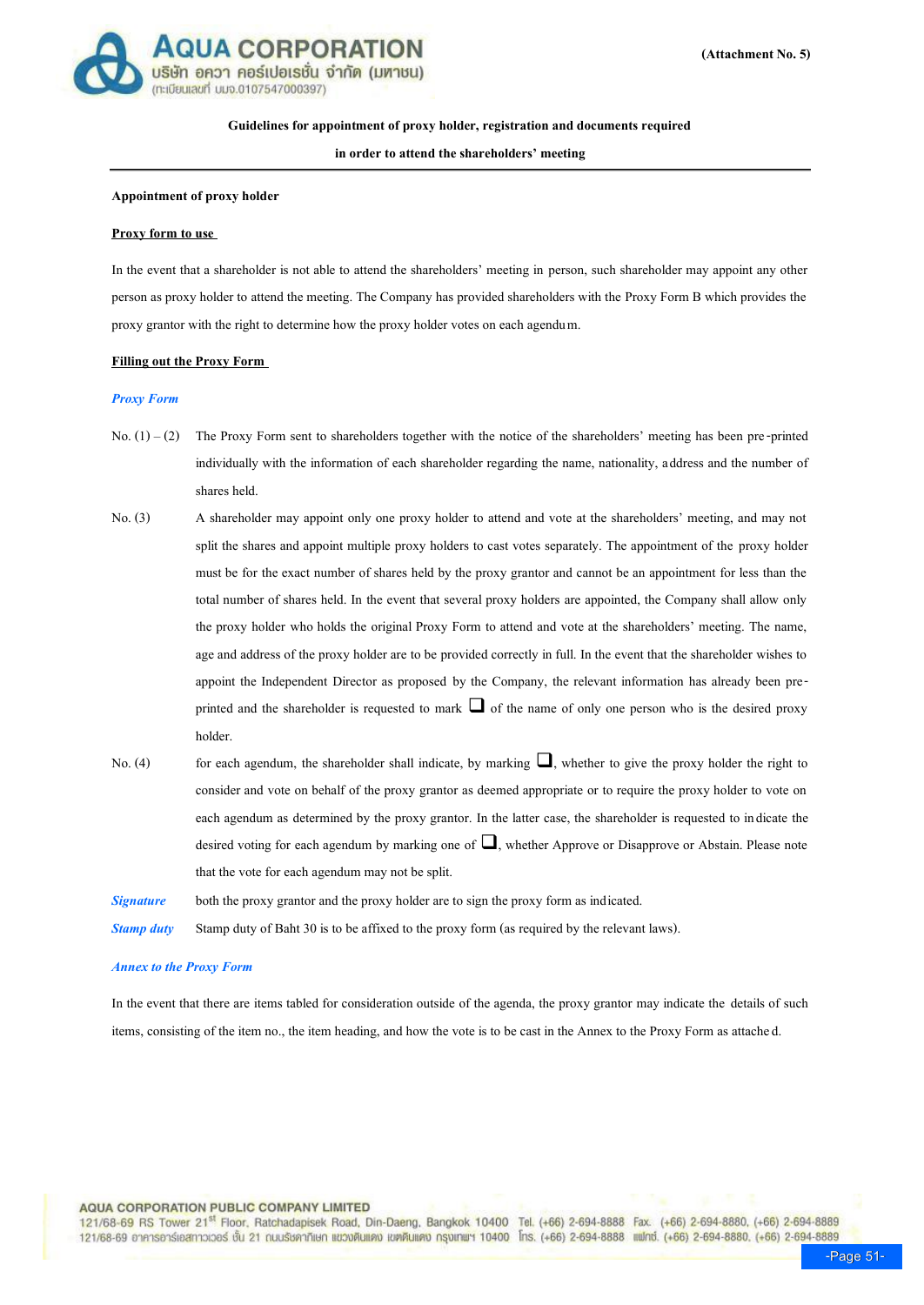

## **Guidelines for appointment of proxy holder, registration and documents required**

**in order to attend the shareholders' meeting**

### **Appointment of proxy holder**

#### **Proxy form to use**

In the event that a shareholder is not able to attend the shareholders' meeting in person, such shareholder may appoint any other person as proxy holder to attend the meeting. The Company has provided shareholders with the Proxy Form B which provides the proxy grantor with the right to determine how the proxy holder votes on each agendum.

#### **Filling out the Proxy Form**

#### *Proxy Form*

- No.  $(1) (2)$  The Proxy Form sent to shareholders together with the notice of the shareholders' meeting has been pre-printed individually with the information of each shareholder regarding the name, nationality, address and the number of shares held.
- No. (3) A shareholder may appoint only one proxy holder to attend and vote at the shareholders' meeting, and may not split the shares and appoint multiple proxy holders to cast votes separately. The appointment of the proxy holder must be for the exact number of shares held by the proxy grantor and cannot be an appointment for less than the total number of shares held. In the event that several proxy holders are appointed, the Company shall allow only the proxy holder who holds the original Proxy Form to attend and vote at the shareholders' meeting. The name, age and address of the proxy holder are to be provided correctly in full. In the event that the shareholder wishes to appoint the Independent Director as proposed by the Company, the relevant information has already been preprinted and the shareholder is requested to mark  $\Box$  of the name of only one person who is the desired proxy holder.
- No. (4) for each agendum, the shareholder shall indicate, by marking  $\Box$ , whether to give the proxy holder the right to consider and vote on behalf of the proxy grantor as deemed appropriate or to require the proxy holder to vote on each agendum as determined by the proxy grantor. In the latter case, the shareholder is requested to indicate the desired voting for each agendum by marking one of  $\Box$ , whether Approve or Disapprove or Abstain. Please note that the vote for each agendum may not be split.

*Signature* both the proxy grantor and the proxy holder are to sign the proxy form as indicated.

*Stamp duty* Stamp duty of Baht 30 is to be affixed to the proxy form (as required by the relevant laws).

### *Annex to the Proxy Form*

In the event that there are items tabled for consideration outside of the agenda, the proxy grantor may indicate the details of such items, consisting of the item no., the item heading, and how the vote is to be cast in the Annex to the Proxy Form as attached.

## **AQUA CORPORATION PUBLIC COMPANY LIMITED**

121/68-69 RS Tower 21<sup>st</sup> Floor, Ratchadapisek Road, Din-Daeng, Bangkok 10400 Tel. (+66) 2-694-8888 Fax. (+66) 2-694-8880, (+66) 2-694-8889 121/68-69 อาคารอาร์เอสทาวเวอร์ ชั้น 21 กนนรัชคาภิเษก แขวงดินแดง เขตดินแดง กรุงเทพฯ 10400 โทร. (+66) 2-694-8888 แฟทซ์. (+66) 2-694-8880, (+66) 2-694-8889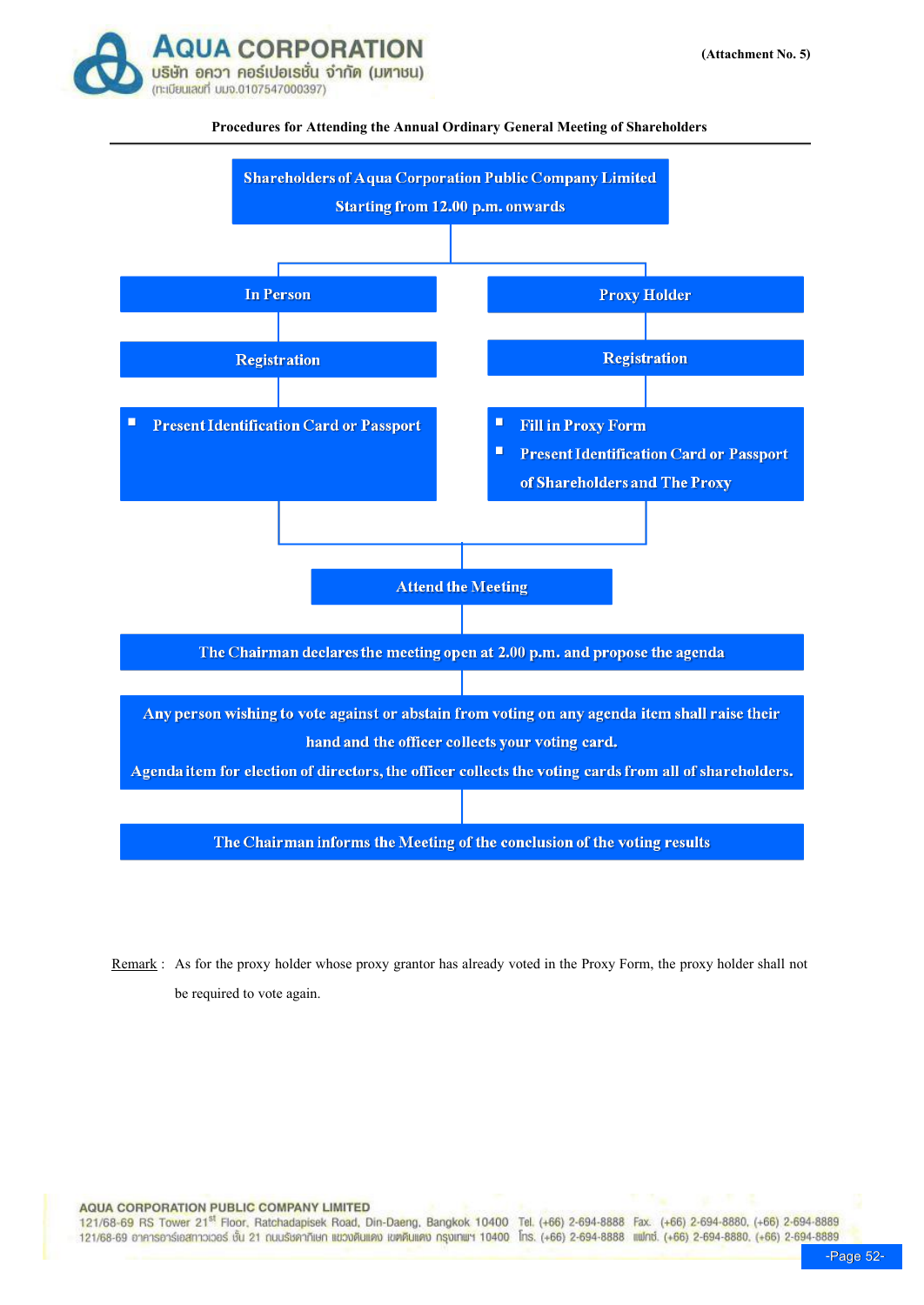

# **Procedures for Attending the Annual Ordinary General Meeting of Shareholders**



Remark : As for the proxy holder whose proxy grantor has already voted in the Proxy Form, the proxy holder shall not be required to vote again.

**AQUA CORPORATION PUBLIC COMPANY LIMITED** 

121/68-69 RS Tower 21<sup>st</sup> Floor, Ratchadapisek Road, Din-Daeng, Bangkok 10400 Tel. (+66) 2-694-8888 Fax. (+66) 2-694-8880, (+66) 2-694-8889 121/68-69 อาคารอาร์เอสทาวเวอร์ ชั้น 21 ณนรั<del>บคาภิเษก แขวงดินแด</del>ง เขตดินแดง กรุงเทพฯ 10400 โทร. (+66) 2-694-8888 แฟทซ์. (+66) 2-694-8880. (+66) 2-694-8889<br>Page 52-